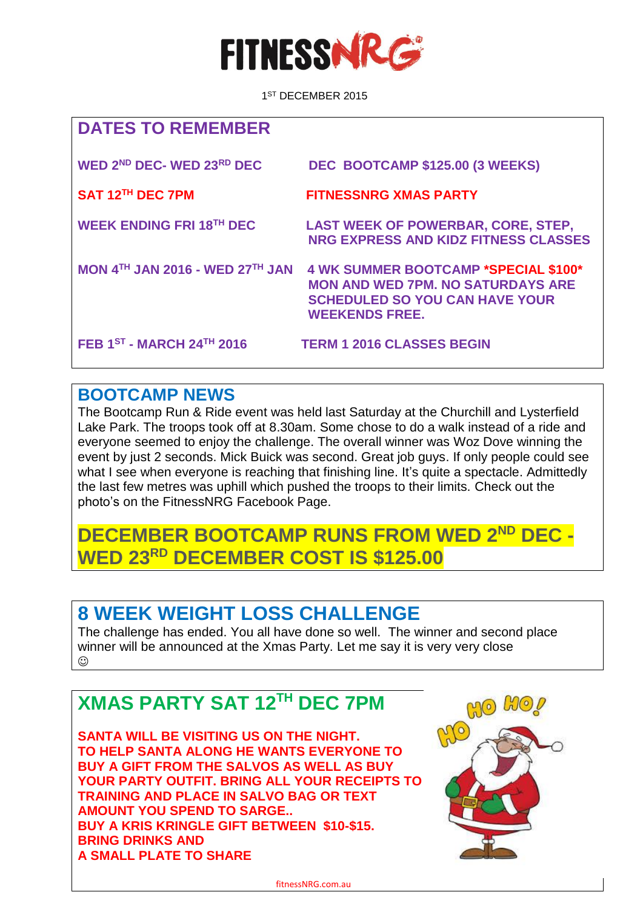

 1 1<sup>ST</sup> DECEMBER 2015

| <b>DATES TO REMEMBER</b>               |                                                                                                                                                           |
|----------------------------------------|-----------------------------------------------------------------------------------------------------------------------------------------------------------|
| WED 2ND DEC- WED 23RD DEC              | DEC BOOTCAMP \$125.00 (3 WEEKS)                                                                                                                           |
| SAT 12 <sup>TH</sup> DEC 7PM           | <b>FITNESSNRG XMAS PARTY</b>                                                                                                                              |
| <b>WEEK ENDING FRI 18TH DEC</b>        | <b>LAST WEEK OF POWERBAR, CORE, STEP,</b><br>NRG EXPRESS AND KIDZ FITNESS CLASSES                                                                         |
| <b>MON 4TH JAN 2016 - WED 27TH JAN</b> | <b>4 WK SUMMER BOOTCAMP *SPECIAL \$100*</b><br><b>MON AND WED 7PM, NO SATURDAYS ARE</b><br><b>SCHEDULED SO YOU CAN HAVE YOUR</b><br><b>WEEKENDS FREE.</b> |
| FEB 1ST - MARCH 24TH 2016              | <b>TERM 1 2016 CLASSES BEGIN</b>                                                                                                                          |

#### **BOOTCAMP NEWS**

The Bootcamp Run & Ride event was held last Saturday at the Churchill and Lysterfield Lake Park. The troops took off at 8.30am. Some chose to do a walk instead of a ride and everyone seemed to enjoy the challenge. The overall winner was Woz Dove winning the event by just 2 seconds. Mick Buick was second. Great job guys. If only people could see what I see when everyone is reaching that finishing line. It's quite a spectacle. Admittedly the last few metres was uphill which pushed the troops to their limits. Check out the photo's on the FitnessNRG Facebook Page.

### **DECEMBER BOOTCAMP RUNS FROM WED 2ND DEC - WED 23RD DECEMBER COST IS \$125.00**

### **8 WEEK WEIGHT LOSS CHALLENGE**

The challenge has ended. You all have done so well. The winner and second place winner will be announced at the Xmas Party. Let me say it is very very close  $\odot$ 

# **XMAS PARTY SAT 12TH DEC 7PM**

**SANTA WILL BE VISITING US ON THE NIGHT. TO HELP SANTA ALONG HE WANTS EVERYONE TO BUY A GIFT FROM THE SALVOS AS WELL AS BUY YOUR PARTY OUTFIT. BRING ALL YOUR RECEIPTS TO TRAINING AND PLACE IN SALVO BAG OR TEXT AMOUNT YOU SPEND TO SARGE.. BUY A KRIS KRINGLE GIFT BETWEEN \$10-\$15. BRING DRINKS AND A SMALL PLATE TO SHARE**



fitnessNRG.com.au